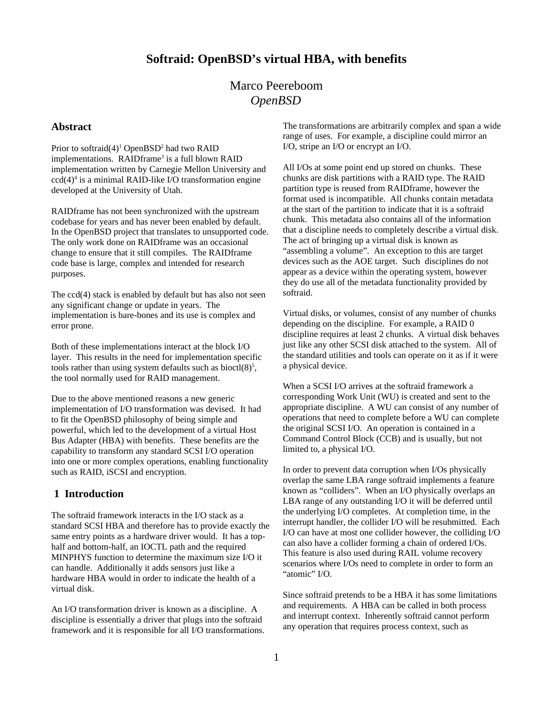# Marco Peereboom *OpenBSD*

#### **Abstract**

Prior to softraid(4)<sup>[1](#page-5-0)</sup> OpenBSD<sup>[2](#page-5-1)</sup> had two RAID implementations. RAIDframe<sup>[3](#page-5-2)</sup> is a full blown RAID implementation written by Carnegie Mellon University and ccd([4](#page-5-3))<sup>4</sup> is a minimal RAID-like I/O transformation engine developed at the University of Utah.

RAIDframe has not been synchronized with the upstream codebase for years and has never been enabled by default. In the OpenBSD project that translates to unsupported code. The only work done on RAIDframe was an occasional change to ensure that it still compiles. The RAIDframe code base is large, complex and intended for research purposes.

The ccd(4) stack is enabled by default but has also not seen any significant change or update in years. The implementation is bare-bones and its use is complex and error prone.

Both of these implementations interact at the block I/O layer. This results in the need for implementation specific tools rather than using system defaults such as bioctl $(8)^5$  $(8)^5$ , the tool normally used for RAID management.

Due to the above mentioned reasons a new generic implementation of I/O transformation was devised. It had to fit the OpenBSD philosophy of being simple and powerful, which led to the development of a virtual Host Bus Adapter (HBA) with benefits. These benefits are the capability to transform any standard SCSI I/O operation into one or more complex operations, enabling functionality such as RAID, iSCSI and encryption.

### **1 Introduction**

The softraid framework interacts in the I/O stack as a standard SCSI HBA and therefore has to provide exactly the same entry points as a hardware driver would. It has a tophalf and bottom-half, an IOCTL path and the required MINPHYS function to determine the maximum size I/O it can handle. Additionally it adds sensors just like a hardware HBA would in order to indicate the health of a virtual disk.

An I/O transformation driver is known as a discipline. A discipline is essentially a driver that plugs into the softraid framework and it is responsible for all I/O transformations. The transformations are arbitrarily complex and span a wide range of uses. For example, a discipline could mirror an I/O, stripe an I/O or encrypt an I/O.

All I/Os at some point end up stored on chunks. These chunks are disk partitions with a RAID type. The RAID partition type is reused from RAIDframe, however the format used is incompatible. All chunks contain metadata at the start of the partition to indicate that it is a softraid chunk. This metadata also contains all of the information that a discipline needs to completely describe a virtual disk. The act of bringing up a virtual disk is known as "assembling a volume". An exception to this are target devices such as the AOE target. Such disciplines do not appear as a device within the operating system, however they do use all of the metadata functionality provided by softraid.

Virtual disks, or volumes, consist of any number of chunks depending on the discipline. For example, a RAID 0 discipline requires at least 2 chunks. A virtual disk behaves just like any other SCSI disk attached to the system. All of the standard utilities and tools can operate on it as if it were a physical device.

When a SCSI I/O arrives at the softraid framework a corresponding Work Unit (WU) is created and sent to the appropriate discipline. A WU can consist of any number of operations that need to complete before a WU can complete the original SCSI I/O. An operation is contained in a Command Control Block (CCB) and is usually, but not limited to, a physical I/O.

In order to prevent data corruption when I/Os physically overlap the same LBA range softraid implements a feature known as "colliders". When an I/O physically overlaps an LBA range of any outstanding I/O it will be deferred until the underlying I/O completes. At completion time, in the interrupt handler, the collider I/O will be resubmitted. Each I/O can have at most one collider however, the colliding I/O can also have a collider forming a chain of ordered I/Os. This feature is also used during RAIL volume recovery scenarios where I/Os need to complete in order to form an "atomic" I/O.

Since softraid pretends to be a HBA it has some limitations and requirements. A HBA can be called in both process and interrupt context. Inherently softraid cannot perform any operation that requires process context, such as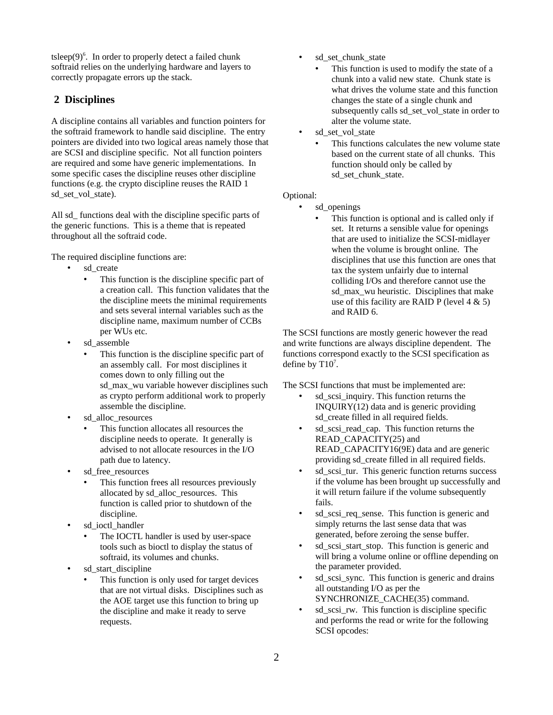$t$ sleep $(9)^6$  $(9)^6$ . In order to properly detect a failed chunk softraid relies on the underlying hardware and layers to correctly propagate errors up the stack.

#### **2 Disciplines**

A discipline contains all variables and function pointers for the softraid framework to handle said discipline. The entry pointers are divided into two logical areas namely those that are SCSI and discipline specific. Not all function pointers are required and some have generic implementations. In some specific cases the discipline reuses other discipline functions (e.g. the crypto discipline reuses the RAID 1 sd\_set\_vol\_state).

All sd functions deal with the discipline specific parts of the generic functions. This is a theme that is repeated throughout all the softraid code.

The required discipline functions are:

- sd\_create
	- This function is the discipline specific part of a creation call. This function validates that the the discipline meets the minimal requirements and sets several internal variables such as the discipline name, maximum number of CCBs per WUs etc.
- sd\_assemble
	- This function is the discipline specific part of an assembly call. For most disciplines it comes down to only filling out the sd\_max\_wu variable however disciplines such as crypto perform additional work to properly assemble the discipline.
- sd\_alloc\_resources
	- This function allocates all resources the discipline needs to operate. It generally is advised to not allocate resources in the I/O path due to latency.
- sd\_free\_resources
	- This function frees all resources previously allocated by sd\_alloc\_resources. This function is called prior to shutdown of the discipline.
- sd\_ioctl\_handler
	- The IOCTL handler is used by user-space tools such as bioctl to display the status of softraid, its volumes and chunks.
- sd\_start\_discipline
	- This function is only used for target devices that are not virtual disks. Disciplines such as the AOE target use this function to bring up the discipline and make it ready to serve requests.
- sd\_set\_chunk\_state
	- This function is used to modify the state of a chunk into a valid new state. Chunk state is what drives the volume state and this function changes the state of a single chunk and subsequently calls sd\_set\_vol\_state in order to alter the volume state.
- sd\_set\_vol\_state
	- This functions calculates the new volume state based on the current state of all chunks. This function should only be called by sd\_set\_chunk\_state.

#### Optional:

- sd openings
	- This function is optional and is called only if set. It returns a sensible value for openings that are used to initialize the SCSI-midlayer when the volume is brought online. The disciplines that use this function are ones that tax the system unfairly due to internal colliding I/Os and therefore cannot use the sd\_max\_wu heuristic. Disciplines that make use of this facility are RAID P (level 4 & 5) and RAID 6.

The SCSI functions are mostly generic however the read and write functions are always discipline dependent. The functions correspond exactly to the SCSI specification as define by  $T10<sup>7</sup>$  $T10<sup>7</sup>$  $T10<sup>7</sup>$ .

The SCSI functions that must be implemented are:

- sd\_scsi\_inquiry. This function returns the INQUIRY(12) data and is generic providing sd\_create filled in all required fields.
- sd scsi read cap. This function returns the READ\_CAPACITY(25) and READ\_CAPACITY16(9E) data and are generic providing sd\_create filled in all required fields.
- sd scsi tur. This generic function returns success if the volume has been brought up successfully and it will return failure if the volume subsequently fails.
- sd scsi req sense. This function is generic and simply returns the last sense data that was generated, before zeroing the sense buffer.
- sd scsi\_start\_stop. This function is generic and will bring a volume online or offline depending on the parameter provided.
- sd scsi sync. This function is generic and drains all outstanding I/O as per the SYNCHRONIZE\_CACHE(35) command.
- sd scsi rw. This function is discipline specific and performs the read or write for the following SCSI opcodes: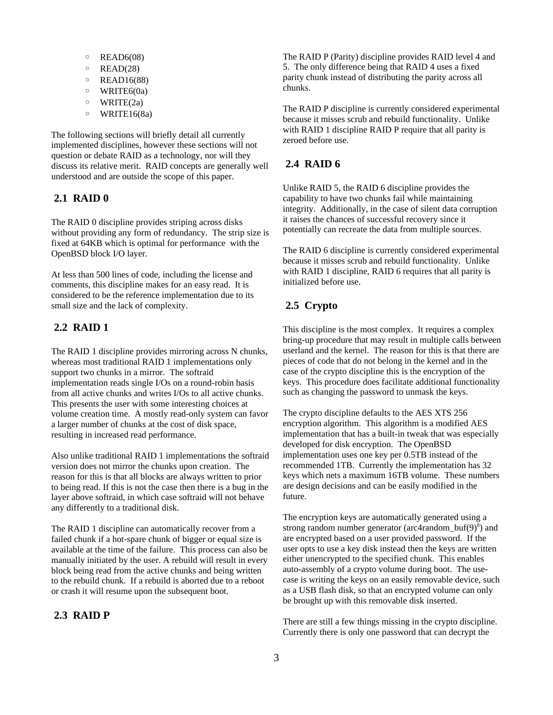- READ6(08)
- READ(28)
- READ16(88)
- WRITE6(0a)
- WRITE(2a)
- WRITE16(8a)

The following sections will briefly detail all currently implemented disciplines, however these sections will not question or debate RAID as a technology, nor will they discuss its relative merit. RAID concepts are generally well understood and are outside the scope of this paper.

#### **2.1 RAID 0**

The RAID 0 discipline provides striping across disks without providing any form of redundancy. The strip size is fixed at 64KB which is optimal for performance with the OpenBSD block I/O layer.

At less than 500 lines of code, including the license and comments, this discipline makes for an easy read. It is considered to be the reference implementation due to its small size and the lack of complexity.

### **2.2 RAID 1**

The RAID 1 discipline provides mirroring across N chunks, whereas most traditional RAID 1 implementations only support two chunks in a mirror. The softraid implementation reads single I/Os on a round-robin basis from all active chunks and writes I/Os to all active chunks. This presents the user with some interesting choices at volume creation time. A mostly read-only system can favor a larger number of chunks at the cost of disk space, resulting in increased read performance.

Also unlike traditional RAID 1 implementations the softraid version does not mirror the chunks upon creation. The reason for this is that all blocks are always written to prior to being read. If this is not the case then there is a bug in the layer above softraid, in which case softraid will not behave any differently to a traditional disk.

The RAID 1 discipline can automatically recover from a failed chunk if a hot-spare chunk of bigger or equal size is available at the time of the failure. This process can also be manually initiated by the user. A rebuild will result in every block being read from the active chunks and being written to the rebuild chunk. If a rebuild is aborted due to a reboot or crash it will resume upon the subsequent boot.

#### **2.3 RAID P**

The RAID P (Parity) discipline provides RAID level 4 and 5. The only difference being that RAID 4 uses a fixed parity chunk instead of distributing the parity across all chunks.

The RAID P discipline is currently considered experimental because it misses scrub and rebuild functionality. Unlike with RAID 1 discipline RAID P require that all parity is zeroed before use.

### **2.4 RAID 6**

Unlike RAID 5, the RAID 6 discipline provides the capability to have two chunks fail while maintaining integrity. Additionally, in the case of silent data corruption it raises the chances of successful recovery since it potentially can recreate the data from multiple sources.

The RAID 6 discipline is currently considered experimental because it misses scrub and rebuild functionality. Unlike with RAID 1 discipline, RAID 6 requires that all parity is initialized before use.

#### **2.5 Crypto**

This discipline is the most complex. It requires a complex bring-up procedure that may result in multiple calls between userland and the kernel. The reason for this is that there are pieces of code that do not belong in the kernel and in the case of the crypto discipline this is the encryption of the keys. This procedure does facilitate additional functionality such as changing the password to unmask the keys.

The crypto discipline defaults to the AES XTS 256 encryption algorithm. This algorithm is a modified AES implementation that has a built-in tweak that was especially developed for disk encryption. The OpenBSD implementation uses one key per 0.5TB instead of the recommended 1TB. Currently the implementation has 32 keys which nets a maximum 16TB volume. These numbers are design decisions and can be easily modified in the future.

The encryption keys are automatically generated using a strong random number generator (arc4random\_buf $(9)^8$  $(9)^8$ ) and are encrypted based on a user provided password. If the user opts to use a key disk instead then the keys are written either unencrypted to the specified chunk. This enables auto-assembly of a crypto volume during boot. The usecase is writing the keys on an easily removable device, such as a USB flash disk, so that an encrypted volume can only be brought up with this removable disk inserted.

There are still a few things missing in the crypto discipline. Currently there is only one password that can decrypt the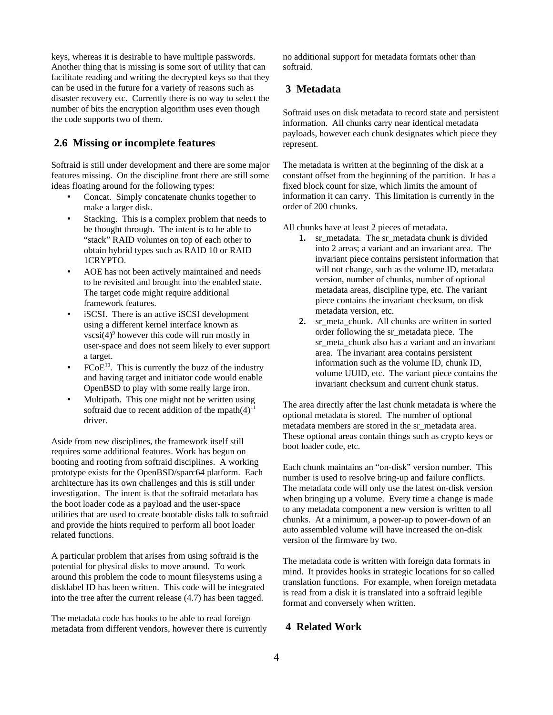keys, whereas it is desirable to have multiple passwords. Another thing that is missing is some sort of utility that can facilitate reading and writing the decrypted keys so that they can be used in the future for a variety of reasons such as disaster recovery etc. Currently there is no way to select the number of bits the encryption algorithm uses even though the code supports two of them.

### **2.6 Missing or incomplete features**

Softraid is still under development and there are some major features missing. On the discipline front there are still some ideas floating around for the following types:

- Concat. Simply concatenate chunks together to make a larger disk.
- Stacking. This is a complex problem that needs to be thought through. The intent is to be able to "stack" RAID volumes on top of each other to obtain hybrid types such as RAID 10 or RAID 1CRYPTO.
- AOE has not been actively maintained and needs to be revisited and brought into the enabled state. The target code might require additional framework features.
- iSCSI. There is an active iSCSI development using a different kernel interface known as vscsi(4)<sup>[9](#page-5-8)</sup> however this code will run mostly in user-space and does not seem likely to ever support a target.
- $FCoE<sup>10</sup>$  $FCoE<sup>10</sup>$  $FCoE<sup>10</sup>$ . This is currently the buzz of the industry and having target and initiator code would enable OpenBSD to play with some really large iron.
- Multipath. This one might not be written using softraid due to recent addition of the mpath $(4)^{11}$  $(4)^{11}$  $(4)^{11}$ driver.

Aside from new disciplines, the framework itself still requires some additional features. Work has begun on booting and rooting from softraid disciplines. A working prototype exists for the OpenBSD/sparc64 platform. Each architecture has its own challenges and this is still under investigation. The intent is that the softraid metadata has the boot loader code as a payload and the user-space utilities that are used to create bootable disks talk to softraid and provide the hints required to perform all boot loader related functions.

A particular problem that arises from using softraid is the potential for physical disks to move around. To work around this problem the code to mount filesystems using a disklabel ID has been written. This code will be integrated into the tree after the current release (4.7) has been tagged.

The metadata code has hooks to be able to read foreign metadata from different vendors, however there is currently no additional support for metadata formats other than softraid.

#### **3 Metadata**

Softraid uses on disk metadata to record state and persistent information. All chunks carry near identical metadata payloads, however each chunk designates which piece they represent.

The metadata is written at the beginning of the disk at a constant offset from the beginning of the partition. It has a fixed block count for size, which limits the amount of information it can carry. This limitation is currently in the order of 200 chunks.

All chunks have at least 2 pieces of metadata.

- 1. sr\_metadata. The sr\_metadata chunk is divided into 2 areas; a variant and an invariant area. The invariant piece contains persistent information that will not change, such as the volume ID, metadata version, number of chunks, number of optional metadata areas, discipline type, etc. The variant piece contains the invariant checksum, on disk metadata version, etc.
- 2. sr\_meta\_chunk. All chunks are written in sorted order following the sr\_metadata piece. The sr\_meta\_chunk also has a variant and an invariant area. The invariant area contains persistent information such as the volume ID, chunk ID, volume UUID, etc. The variant piece contains the invariant checksum and current chunk status.

The area directly after the last chunk metadata is where the optional metadata is stored. The number of optional metadata members are stored in the sr\_metadata area. These optional areas contain things such as crypto keys or boot loader code, etc.

Each chunk maintains an "on-disk" version number. This number is used to resolve bring-up and failure conflicts. The metadata code will only use the latest on-disk version when bringing up a volume. Every time a change is made to any metadata component a new version is written to all chunks. At a minimum, a power-up to power-down of an auto assembled volume will have increased the on-disk version of the firmware by two.

The metadata code is written with foreign data formats in mind. It provides hooks in strategic locations for so called translation functions. For example, when foreign metadata is read from a disk it is translated into a softraid legible format and conversely when written.

#### **4 Related Work**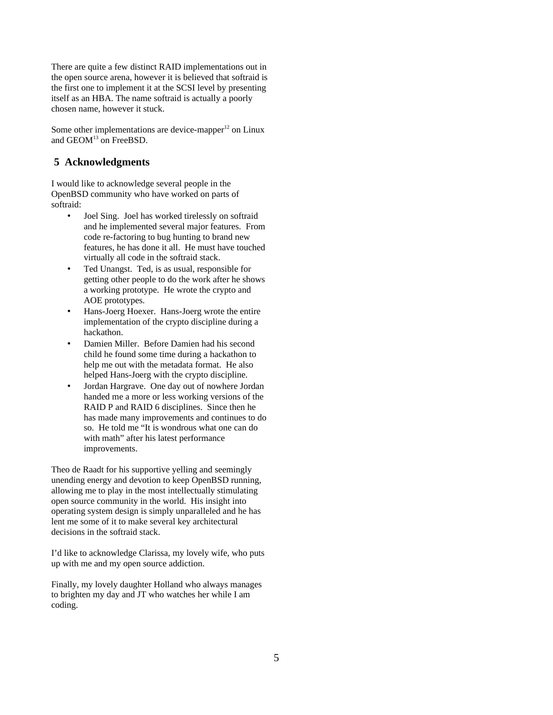There are quite a few distinct RAID implementations out in the open source arena, however it is believed that softraid is the first one to implement it at the SCSI level by presenting itself as an HBA. The name softraid is actually a poorly chosen name, however it stuck.

Some other implementations are device-mapper $12$  on Linux and GEOM<sup>[13](#page-5-12)</sup> on FreeBSD.

### **5 Acknowledgments**

I would like to acknowledge several people in the OpenBSD community who have worked on parts of softraid:

- Joel Sing. Joel has worked tirelessly on softraid and he implemented several major features. From code re-factoring to bug hunting to brand new features, he has done it all. He must have touched virtually all code in the softraid stack.
- Ted Unangst. Ted, is as usual, responsible for getting other people to do the work after he shows a working prototype. He wrote the crypto and AOE prototypes.
- Hans-Joerg Hoexer. Hans-Joerg wrote the entire implementation of the crypto discipline during a hackathon.
- Damien Miller. Before Damien had his second child he found some time during a hackathon to help me out with the metadata format. He also helped Hans-Joerg with the crypto discipline.
- Jordan Hargrave. One day out of nowhere Jordan handed me a more or less working versions of the RAID P and RAID 6 disciplines. Since then he has made many improvements and continues to do so. He told me "It is wondrous what one can do with math" after his latest performance improvements.

Theo de Raadt for his supportive yelling and seemingly unending energy and devotion to keep OpenBSD running, allowing me to play in the most intellectually stimulating open source community in the world. His insight into operating system design is simply unparalleled and he has lent me some of it to make several key architectural decisions in the softraid stack.

I'd like to acknowledge Clarissa, my lovely wife, who puts up with me and my open source addiction.

Finally, my lovely daughter Holland who always manages to brighten my day and JT who watches her while I am coding.